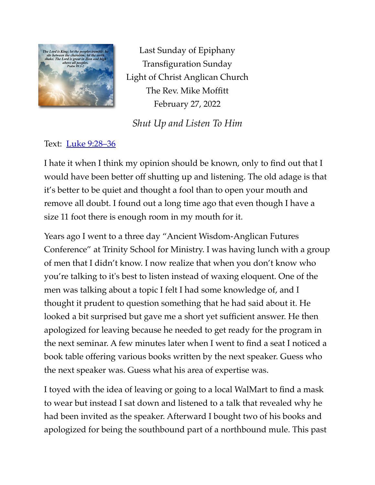

Last Sunday of Epiphany Transfiguration Sunday Light of Christ Anglican Church The Rev. Mike Moffitt February 27, 2022

*Shut Up and Listen To Him*

Text: [Luke 9:28–36](https://www.biblegateway.com/passage/?search=Luke+9:28%E2%80%9336&version=ESV)

I hate it when I think my opinion should be known, only to find out that I would have been better off shutting up and listening. The old adage is that it's better to be quiet and thought a fool than to open your mouth and remove all doubt. I found out a long time ago that even though I have a size 11 foot there is enough room in my mouth for it.

Years ago I went to a three day "Ancient Wisdom-Anglican Futures Conference" at Trinity School for Ministry. I was having lunch with a group of men that I didn't know. I now realize that when you don't know who you're talking to it's best to listen instead of waxing eloquent. One of the men was talking about a topic I felt I had some knowledge of, and I thought it prudent to question something that he had said about it. He looked a bit surprised but gave me a short yet sufficient answer. He then apologized for leaving because he needed to get ready for the program in the next seminar. A few minutes later when I went to find a seat I noticed a book table offering various books written by the next speaker. Guess who the next speaker was. Guess what his area of expertise was.

I toyed with the idea of leaving or going to a local WalMart to find a mask to wear but instead I sat down and listened to a talk that revealed why he had been invited as the speaker. Afterward I bought two of his books and apologized for being the southbound part of a northbound mule. This past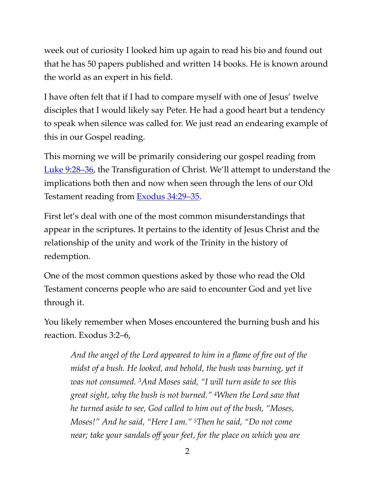week out of curiosity I looked him up again to read his bio and found out that he has 50 papers published and written 14 books. He is known around the world as an expert in his field.

I have often felt that if I had to compare myself with one of Jesus' twelve disciples that I would likely say Peter. He had a good heart but a tendency to speak when silence was called for. We just read an endearing example of this in our Gospel reading.

This morning we will be primarily considering our gospel reading from [Luke 9:28–36](https://www.biblegateway.com/passage/?search=Luke+9:28%E2%80%9336&version=ESV), the Transfiguration of Christ. We'll attempt to understand the implications both then and now when seen through the lens of our Old Testament reading from **Exodus 34:29-35**.

First let's deal with one of the most common misunderstandings that appear in the scriptures. It pertains to the identity of Jesus Christ and the relationship of the unity and work of the Trinity in the history of redemption.

One of the most common questions asked by those who read the Old Testament concerns people who are said to encounter God and yet live through it.

You likely remember when Moses encountered the burning bush and his reaction. Exodus 3:2–6,

*And the angel of the Lord appeared to him in a flame of fire out of the midst of a bush. He looked, and behold, the bush was burning, yet it was not consumed. 3And Moses said, "I will turn aside to see this great sight, why the bush is not burned." 4When the Lord saw that he turned aside to see, God called to him out of the bush, "Moses, Moses!" And he said, "Here I am." 5Then he said, "Do not come near; take your sandals off your feet, for the place on which you are*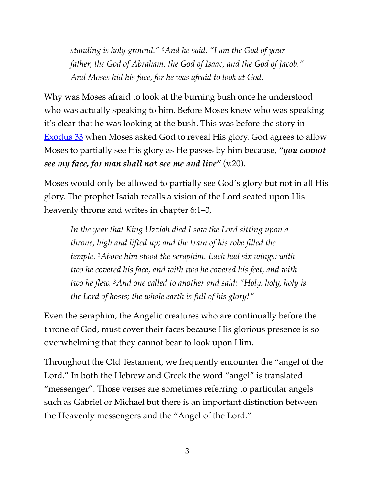*standing is holy ground." 6And he said, "I am the God of your father, the God of Abraham, the God of Isaac, and the God of Jacob." And Moses hid his face, for he was afraid to look at God.*

Why was Moses afraid to look at the burning bush once he understood who was actually speaking to him. Before Moses knew who was speaking it's clear that he was looking at the bush. This was before the story in [Exodus 33](https://www.biblegateway.com/passage/?search=Exodus+33:17%E2%80%9323&version=ESV) when Moses asked God to reveal His glory. God agrees to allow Moses to partially see His glory as He passes by him because, *"you cannot see my face, for man shall not see me and live"* (v.20).

Moses would only be allowed to partially see God's glory but not in all His glory. The prophet Isaiah recalls a vision of the Lord seated upon His heavenly throne and writes in chapter 6:1–3,

*In the year that King Uzziah died I saw the Lord sitting upon a throne, high and lifted up; and the train of his robe filled the temple. 2Above him stood the seraphim. Each had six wings: with two he covered his face, and with two he covered his feet, and with two he flew. 3And one called to another and said: "Holy, holy, holy is the Lord of hosts; the whole earth is full of his glory!"*

Even the seraphim, the Angelic creatures who are continually before the throne of God, must cover their faces because His glorious presence is so overwhelming that they cannot bear to look upon Him.

Throughout the Old Testament, we frequently encounter the "angel of the Lord." In both the Hebrew and Greek the word "angel" is translated "messenger". Those verses are sometimes referring to particular angels such as Gabriel or Michael but there is an important distinction between the Heavenly messengers and the "Angel of the Lord."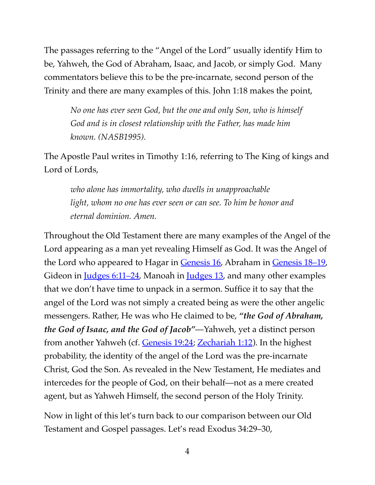The passages referring to the "Angel of the Lord" usually identify Him to be, Yahweh, the God of Abraham, Isaac, and Jacob, or simply God. Many commentators believe this to be the pre-incarnate, second person of the Trinity and there are many examples of this. John 1:18 makes the point,

*No one has ever seen God, but the one and only Son, who is himself God and is in closest relationship with the Father, has made him known. (NASB1995).* 

The Apostle Paul writes in Timothy 1:16, referring to The King of kings and Lord of Lords,

*who alone has immortality, who dwells in unapproachable light, whom no one has ever seen or can see. To him be honor and eternal dominion. Amen.*

Throughout the Old Testament there are many examples of the Angel of the Lord appearing as a man yet revealing Himself as God. It was the Angel of the Lord who appeared to Hagar in [Genesis 16,](https://www.biblegateway.com/passage/?search=Genesis+16:7%E2%80%9313&version=ESV) Abraham in [Genesis 18–19,](https://www.biblegateway.com/passage/?search=Genesis+18%E2%80%9319&version=ESV) Gideon in <u>Judges 6:11–24</u>, Manoah in <u>[Judges 13](https://www.biblegateway.com/passage/?search=Judges+13&version=ESV)</u>, and many other examples that we don't have time to unpack in a sermon. Suffice it to say that the angel of the Lord was not simply a created being as were the other angelic messengers. Rather, He was who He claimed to be, *"the God of Abraham, the God of Isaac, and the God of Jacob"*—Yahweh, yet a distinct person from another Yahweh (cf. [Genesis 19:24](https://www.biblegateway.com/passage/?search=Genesis+19:21%E2%80%9324&version=ESV); [Zechariah 1:12\)](https://www.biblegateway.com/passage/?search=Zechariah+1:12&version=ESV). In the highest probability, the identity of the angel of the Lord was the pre-incarnate Christ, God the Son. As revealed in the New Testament, He mediates and intercedes for the people of God, on their behalf—not as a mere created agent, but as Yahweh Himself, the second person of the Holy Trinity.

Now in light of this let's turn back to our comparison between our Old Testament and Gospel passages. Let's read Exodus 34:29–30,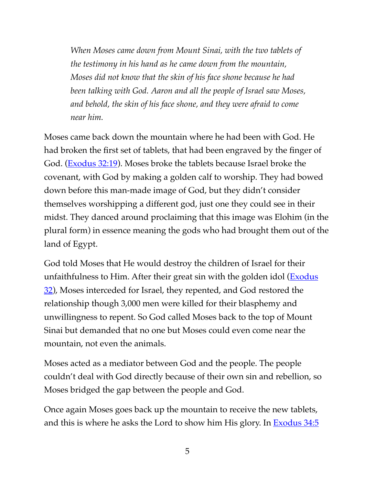*When Moses came down from Mount Sinai, with the two tablets of the testimony in his hand as he came down from the mountain, Moses did not know that the skin of his face shone because he had been talking with God. Aaron and all the people of Israel saw Moses, and behold, the skin of his face shone, and they were afraid to come near him.*

Moses came back down the mountain where he had been with God. He had broken the first set of tablets, that had been engraved by the finger of God. ([Exodus 32:19\)](https://www.biblegateway.com/passage/?search=Exodus+32:19&version=ESV). Moses broke the tablets because Israel broke the covenant, with God by making a golden calf to worship. They had bowed down before this man-made image of God, but they didn't consider themselves worshipping a different god, just one they could see in their midst. They danced around proclaiming that this image was Elohim (in the plural form) in essence meaning the gods who had brought them out of the land of Egypt.

God told Moses that He would destroy the children of Israel for their unfaithfulness to Him. After their great sin with the golden idol (**Exodus**) [32](https://www.biblegateway.com/passage/?search=Exodus+32&version=ESV)), Moses interceded for Israel, they repented, and God restored the relationship though 3,000 men were killed for their blasphemy and unwillingness to repent. So God called Moses back to the top of Mount Sinai but demanded that no one but Moses could even come near the mountain, not even the animals.

Moses acted as a mediator between God and the people. The people couldn't deal with God directly because of their own sin and rebellion, so Moses bridged the gap between the people and God.

Once again Moses goes back up the mountain to receive the new tablets, and this is where he asks the Lord to show him His glory. In [Exodus 34:5](https://www.biblegateway.com/passage/?search=Exodus+34:5&version=ESV)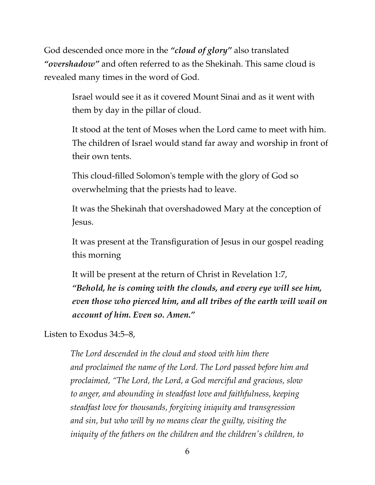God descended once more in the *"cloud of glory"* also translated *"overshadow"* and often referred to as the Shekinah. This same cloud is revealed many times in the word of God.

> Israel would see it as it covered Mount Sinai and as it went with them by day in the pillar of cloud.

It stood at the tent of Moses when the Lord came to meet with him. The children of Israel would stand far away and worship in front of their own tents.

This cloud-filled Solomon's temple with the glory of God so overwhelming that the priests had to leave.

It was the Shekinah that overshadowed Mary at the conception of Jesus.

It was present at the Transfiguration of Jesus in our gospel reading this morning

It will be present at the return of Christ in Revelation 1:7, *"Behold, he is coming with the clouds, and every eye will see him, even those who pierced him, and all tribes of the earth will wail on account of him. Even so. Amen."*

Listen to Exodus 34:5–8,

*The Lord descended in the cloud and stood with him there and proclaimed the name of the Lord. The Lord passed before him and proclaimed, "The Lord, the Lord, a God merciful and gracious, slow to anger, and abounding in steadfast love and faithfulness, keeping steadfast love for thousands, forgiving iniquity and transgression and sin, but who will by no means clear the guilty, visiting the iniquity of the fathers on the children and the children's children, to*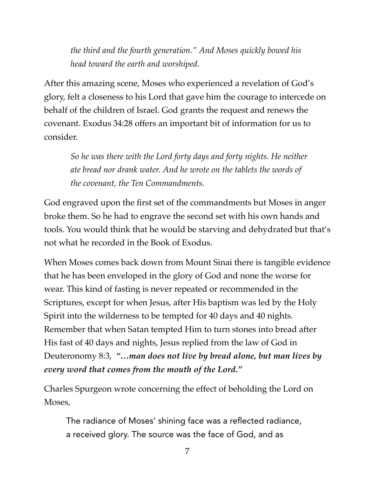*the third and the fourth generation." And Moses quickly bowed his head toward the earth and worshiped.*

After this amazing scene, Moses who experienced a revelation of God's glory, felt a closeness to his Lord that gave him the courage to intercede on behalf of the children of Israel. God grants the request and renews the covenant. Exodus 34:28 offers an important bit of information for us to consider.

*So he was there with the Lord forty days and forty nights. He neither ate bread nor drank water. And he wrote on the tablets the words of the covenant, the Ten Commandments.*

God engraved upon the first set of the commandments but Moses in anger broke them. So he had to engrave the second set with his own hands and tools. You would think that he would be starving and dehydrated but that's not what he recorded in the Book of Exodus.

When Moses comes back down from Mount Sinai there is tangible evidence that he has been enveloped in the glory of God and none the worse for wear. This kind of fasting is never repeated or recommended in the Scriptures, except for when Jesus, after His baptism was led by the Holy Spirit into the wilderness to be tempted for 40 days and 40 nights. Remember that when Satan tempted Him to turn stones into bread after His fast of 40 days and nights, Jesus replied from the law of God in Deuteronomy 8:3, *"…man does not live by bread alone, but man lives by every word that comes from the mouth of the Lord."*

Charles Spurgeon wrote concerning the effect of beholding the Lord on Moses,

The radiance of Moses' shining face was a reflected radiance, a received glory. The source was the face of God, and as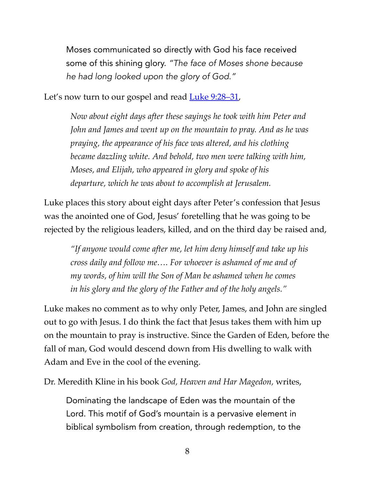Moses communicated so directly with God his face received some of this shining glory. *"The face of Moses shone because he had long looked upon the glory of God."*

Let's now turn to our gospel and read  $Luke 9:28-31$ ,</u>

*Now about eight days after these sayings he took with him Peter and John and James and went up on the mountain to pray. And as he was praying, the appearance of his face was altered, and his clothing became dazzling white. And behold, two men were talking with him, Moses, and Elijah, who appeared in glory and spoke of his departure, which he was about to accomplish at Jerusalem.*

Luke places this story about eight days after Peter's confession that Jesus was the anointed one of God, Jesus' foretelling that he was going to be rejected by the religious leaders, killed, and on the third day be raised and,

*"If anyone would come after me, let him deny himself and take up his cross daily and follow me…. For whoever is ashamed of me and of my words, of him will the Son of Man be ashamed when he comes in his glory and the glory of the Father and of the holy angels."*

Luke makes no comment as to why only Peter, James, and John are singled out to go with Jesus. I do think the fact that Jesus takes them with him up on the mountain to pray is instructive. Since the Garden of Eden, before the fall of man, God would descend down from His dwelling to walk with Adam and Eve in the cool of the evening.

Dr. Meredith Kline in his book *God, Heaven and Har Magedon,* writes,

Dominating the landscape of Eden was the mountain of the Lord. This motif of God's mountain is a pervasive element in biblical symbolism from creation, through redemption, to the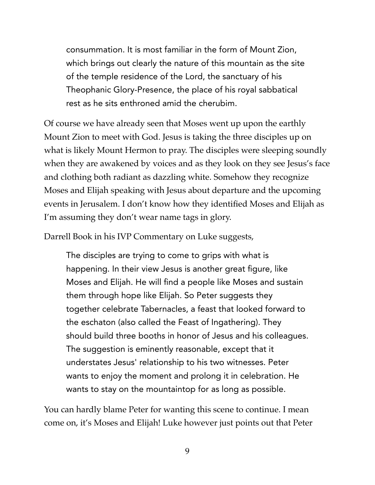consummation. It is most familiar in the form of Mount Zion, which brings out clearly the nature of this mountain as the site of the temple residence of the Lord, the sanctuary of his Theophanic Glory-Presence, the place of his royal sabbatical rest as he sits enthroned amid the cherubim.

Of course we have already seen that Moses went up upon the earthly Mount Zion to meet with God. Jesus is taking the three disciples up on what is likely Mount Hermon to pray. The disciples were sleeping soundly when they are awakened by voices and as they look on they see Jesus's face and clothing both radiant as dazzling white. Somehow they recognize Moses and Elijah speaking with Jesus about departure and the upcoming events in Jerusalem. I don't know how they identified Moses and Elijah as I'm assuming they don't wear name tags in glory.

Darrell Book in his IVP Commentary on Luke suggests,

The disciples are trying to come to grips with what is happening. In their view Jesus is another great figure, like Moses and Elijah. He will find a people like Moses and sustain them through hope like Elijah. So Peter suggests they together celebrate Tabernacles, a feast that looked forward to the eschaton (also called the Feast of Ingathering). They should build three booths in honor of Jesus and his colleagues. The suggestion is eminently reasonable, except that it understates Jesus' relationship to his two witnesses. Peter wants to enjoy the moment and prolong it in celebration. He wants to stay on the mountaintop for as long as possible.

You can hardly blame Peter for wanting this scene to continue. I mean come on, it's Moses and Elijah! Luke however just points out that Peter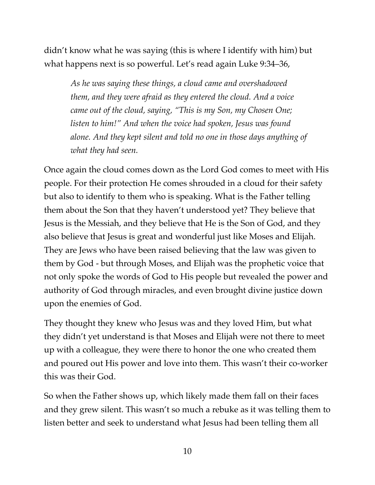didn't know what he was saying (this is where I identify with him) but what happens next is so powerful. Let's read again Luke 9:34–36,

*As he was saying these things, a cloud came and overshadowed them, and they were afraid as they entered the cloud. And a voice came out of the cloud, saying, "This is my Son, my Chosen One; listen to him!" And when the voice had spoken, Jesus was found alone. And they kept silent and told no one in those days anything of what they had seen.*

Once again the cloud comes down as the Lord God comes to meet with His people. For their protection He comes shrouded in a cloud for their safety but also to identify to them who is speaking. What is the Father telling them about the Son that they haven't understood yet? They believe that Jesus is the Messiah, and they believe that He is the Son of God, and they also believe that Jesus is great and wonderful just like Moses and Elijah. They are Jews who have been raised believing that the law was given to them by God - but through Moses, and Elijah was the prophetic voice that not only spoke the words of God to His people but revealed the power and authority of God through miracles, and even brought divine justice down upon the enemies of God.

They thought they knew who Jesus was and they loved Him, but what they didn't yet understand is that Moses and Elijah were not there to meet up with a colleague, they were there to honor the one who created them and poured out His power and love into them. This wasn't their co-worker this was their God.

So when the Father shows up, which likely made them fall on their faces and they grew silent. This wasn't so much a rebuke as it was telling them to listen better and seek to understand what Jesus had been telling them all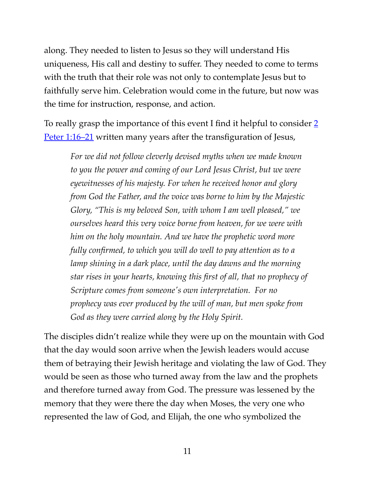along. They needed to listen to Jesus so they will understand His uniqueness, His call and destiny to suffer. They needed to come to terms with the truth that their role was not only to contemplate Jesus but to faithfully serve him. Celebration would come in the future, but now was the time for instruction, response, and action.

To really grasp the importance of this event I find it helpful to consider 2 [Peter 1:16–21](https://www.biblegateway.com/passage/?search=2+Peter+1:16%E2%80%9321&version=ESV) written many years after the transfiguration of Jesus,

*For we did not follow cleverly devised myths when we made known to you the power and coming of our Lord Jesus Christ, but we were eyewitnesses of his majesty. For when he received honor and glory from God the Father, and the voice was borne to him by the Majestic Glory, "This is my beloved Son, with whom I am well pleased," we ourselves heard this very voice borne from heaven, for we were with him on the holy mountain. And we have the prophetic word more fully confirmed, to which you will do well to pay attention as to a lamp shining in a dark place, until the day dawns and the morning star rises in your hearts, knowing this first of all, that no prophecy of Scripture comes from someone's own interpretation. For no prophecy was ever produced by the will of man, but men spoke from God as they were carried along by the Holy Spirit.*

The disciples didn't realize while they were up on the mountain with God that the day would soon arrive when the Jewish leaders would accuse them of betraying their Jewish heritage and violating the law of God. They would be seen as those who turned away from the law and the prophets and therefore turned away from God. The pressure was lessened by the memory that they were there the day when Moses, the very one who represented the law of God, and Elijah, the one who symbolized the